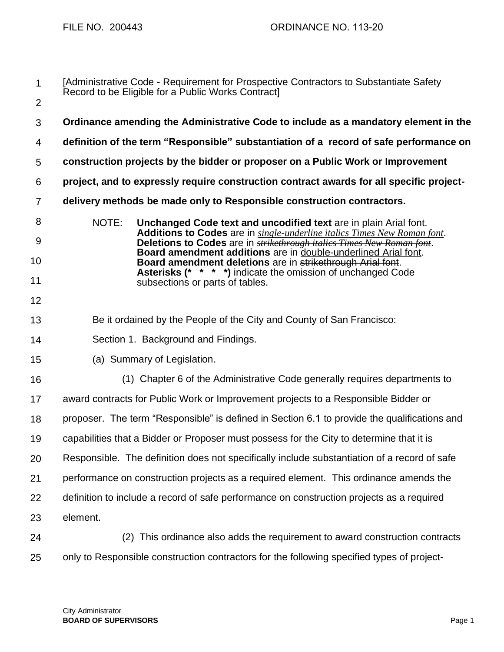| $\mathbf 1$    | [Administrative Code - Requirement for Prospective Contractors to Substantiate Safety<br>Record to be Eligible for a Public Works Contract]                                                                                            |
|----------------|----------------------------------------------------------------------------------------------------------------------------------------------------------------------------------------------------------------------------------------|
| $\overline{2}$ |                                                                                                                                                                                                                                        |
| 3              | Ordinance amending the Administrative Code to include as a mandatory element in the                                                                                                                                                    |
| 4              | definition of the term "Responsible" substantiation of a record of safe performance on                                                                                                                                                 |
| 5              | construction projects by the bidder or proposer on a Public Work or Improvement                                                                                                                                                        |
| 6              | project, and to expressly require construction contract awards for all specific project-                                                                                                                                               |
| $\overline{7}$ | delivery methods be made only to Responsible construction contractors.                                                                                                                                                                 |
| 8<br>9         | NOTE:<br>Unchanged Code text and uncodified text are in plain Arial font.<br>Additions to Codes are in single-underline italics Times New Roman font.<br>Deletions to Codes are in <i>strikethrough italies Times New Roman font</i> . |
| 10             | Board amendment additions are in double-underlined Arial font.<br>Board amendment deletions are in strikethrough Arial font.                                                                                                           |
| 11             | <b>Asterisks (* * * *)</b> indicate the omission of unchanged Code<br>subsections or parts of tables.                                                                                                                                  |
| 12             |                                                                                                                                                                                                                                        |
| 13             | Be it ordained by the People of the City and County of San Francisco:                                                                                                                                                                  |
| 14             | Section 1. Background and Findings.                                                                                                                                                                                                    |
| 15             | (a) Summary of Legislation.                                                                                                                                                                                                            |
| 16             | (1) Chapter 6 of the Administrative Code generally requires departments to                                                                                                                                                             |
| 17             | award contracts for Public Work or Improvement projects to a Responsible Bidder or                                                                                                                                                     |
| 18             | proposer. The term "Responsible" is defined in Section 6.1 to provide the qualifications and                                                                                                                                           |
| 19             | capabilities that a Bidder or Proposer must possess for the City to determine that it is                                                                                                                                               |
| 20             | Responsible. The definition does not specifically include substantiation of a record of safe                                                                                                                                           |
| 21             | performance on construction projects as a required element. This ordinance amends the                                                                                                                                                  |
| 22             | definition to include a record of safe performance on construction projects as a required                                                                                                                                              |
| 23             | element.                                                                                                                                                                                                                               |
| 24             | This ordinance also adds the requirement to award construction contracts<br>(2)                                                                                                                                                        |
| 25             | only to Responsible construction contractors for the following specified types of project-                                                                                                                                             |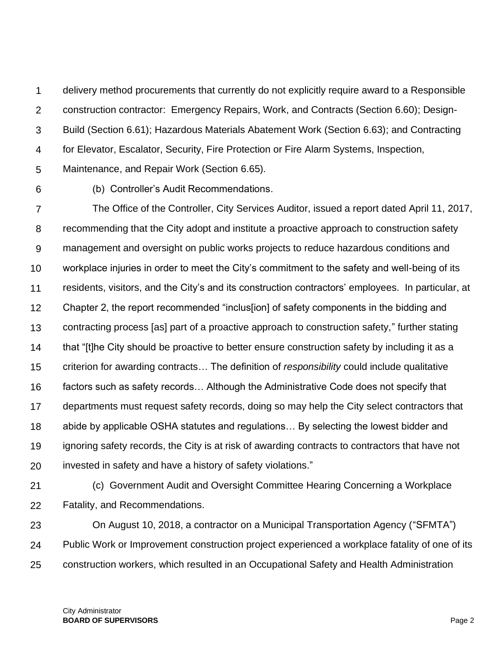1  $\mathcal{P}$ 3 4 5 delivery method procurements that currently do not explicitly require award to a Responsible construction contractor: Emergency Repairs, Work, and Contracts (Section 6.60); Design-Build (Section 6.61); Hazardous Materials Abatement Work (Section 6.63); and Contracting for Elevator, Escalator, Security, Fire Protection or Fire Alarm Systems, Inspection, Maintenance, and Repair Work (Section 6.65).

6

(b) Controller's Audit Recommendations.

7 8 9 10 11 12 13 14 15 16 17 18 19 20 The Office of the Controller, City Services Auditor, issued a report dated April 11, 2017, recommending that the City adopt and institute a proactive approach to construction safety management and oversight on public works projects to reduce hazardous conditions and workplace injuries in order to meet the City's commitment to the safety and well-being of its residents, visitors, and the City's and its construction contractors' employees. In particular, at Chapter 2, the report recommended "inclus[ion] of safety components in the bidding and contracting process [as] part of a proactive approach to construction safety," further stating that "[t]he City should be proactive to better ensure construction safety by including it as a criterion for awarding contracts… The definition of *responsibility* could include qualitative factors such as safety records… Although the Administrative Code does not specify that departments must request safety records, doing so may help the City select contractors that abide by applicable OSHA statutes and regulations… By selecting the lowest bidder and ignoring safety records, the City is at risk of awarding contracts to contractors that have not invested in safety and have a history of safety violations."

21

22 (c) Government Audit and Oversight Committee Hearing Concerning a Workplace Fatality, and Recommendations.

23 24 25 On August 10, 2018, a contractor on a Municipal Transportation Agency ("SFMTA") Public Work or Improvement construction project experienced a workplace fatality of one of its construction workers, which resulted in an Occupational Safety and Health Administration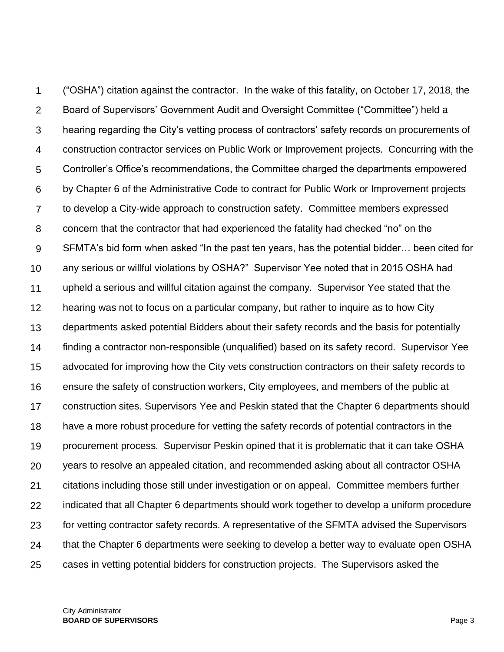1  $\mathcal{P}$ 3 4 5 6 7 8 9 10 11 12 13 14 15 16 17 18 19 20 21 22 23 24 25 ("OSHA") citation against the contractor. In the wake of this fatality, on October 17, 2018, the Board of Supervisors' Government Audit and Oversight Committee ("Committee") held a hearing regarding the City's vetting process of contractors' safety records on procurements of construction contractor services on Public Work or Improvement projects. Concurring with the Controller's Office's recommendations, the Committee charged the departments empowered by Chapter 6 of the Administrative Code to contract for Public Work or Improvement projects to develop a City-wide approach to construction safety. Committee members expressed concern that the contractor that had experienced the fatality had checked "no" on the SFMTA's bid form when asked "In the past ten years, has the potential bidder… been cited for any serious or willful violations by OSHA?" Supervisor Yee noted that in 2015 OSHA had upheld a serious and willful citation against the company. Supervisor Yee stated that the hearing was not to focus on a particular company, but rather to inquire as to how City departments asked potential Bidders about their safety records and the basis for potentially finding a contractor non-responsible (unqualified) based on its safety record. Supervisor Yee advocated for improving how the City vets construction contractors on their safety records to ensure the safety of construction workers, City employees, and members of the public at construction sites. Supervisors Yee and Peskin stated that the Chapter 6 departments should have a more robust procedure for vetting the safety records of potential contractors in the procurement process. Supervisor Peskin opined that it is problematic that it can take OSHA years to resolve an appealed citation, and recommended asking about all contractor OSHA citations including those still under investigation or on appeal. Committee members further indicated that all Chapter 6 departments should work together to develop a uniform procedure for vetting contractor safety records. A representative of the SFMTA advised the Supervisors that the Chapter 6 departments were seeking to develop a better way to evaluate open OSHA cases in vetting potential bidders for construction projects. The Supervisors asked the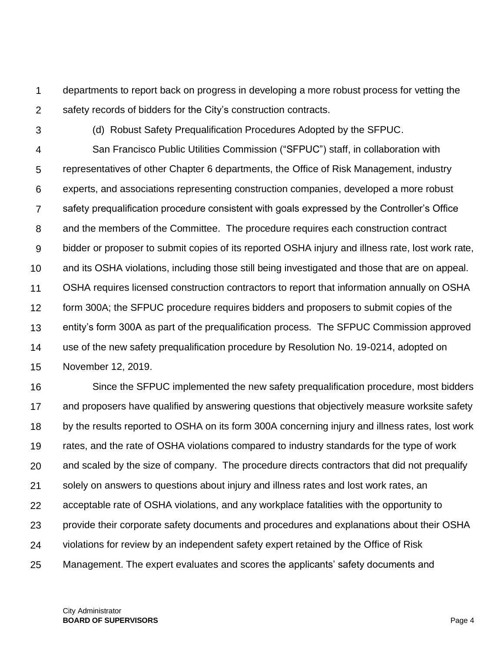1  $\mathcal{P}$ departments to report back on progress in developing a more robust process for vetting the safety records of bidders for the City's construction contracts.

3

(d) Robust Safety Prequalification Procedures Adopted by the SFPUC.

4 5 6 7 8 9 10 11 12 13 14 15 San Francisco Public Utilities Commission ("SFPUC") staff, in collaboration with representatives of other Chapter 6 departments, the Office of Risk Management, industry experts, and associations representing construction companies, developed a more robust safety prequalification procedure consistent with goals expressed by the Controller's Office and the members of the Committee. The procedure requires each construction contract bidder or proposer to submit copies of its reported OSHA injury and illness rate, lost work rate, and its OSHA violations, including those still being investigated and those that are on appeal. OSHA requires licensed construction contractors to report that information annually on OSHA form 300A; the SFPUC procedure requires bidders and proposers to submit copies of the entity's form 300A as part of the prequalification process. The SFPUC Commission approved use of the new safety prequalification procedure by Resolution No. 19-0214, adopted on November 12, 2019.

16 17 18 19 20 21 22 23 24 25 Since the SFPUC implemented the new safety prequalification procedure, most bidders and proposers have qualified by answering questions that objectively measure worksite safety by the results reported to OSHA on its form 300A concerning injury and illness rates, lost work rates, and the rate of OSHA violations compared to industry standards for the type of work and scaled by the size of company. The procedure directs contractors that did not prequalify solely on answers to questions about injury and illness rates and lost work rates, an acceptable rate of OSHA violations, and any workplace fatalities with the opportunity to provide their corporate safety documents and procedures and explanations about their OSHA violations for review by an independent safety expert retained by the Office of Risk Management. The expert evaluates and scores the applicants' safety documents and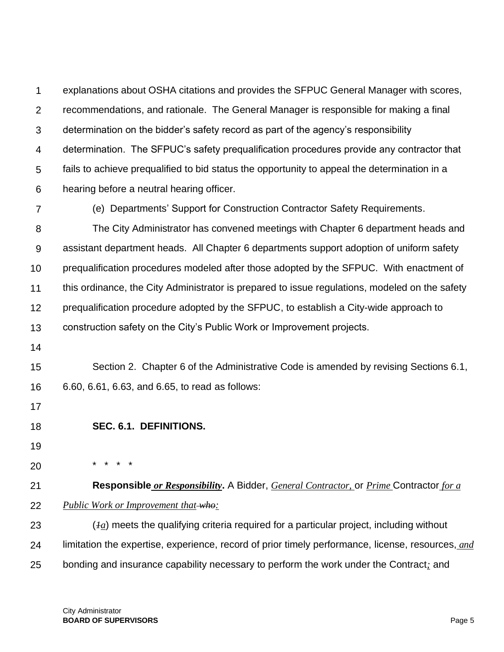1  $\mathcal{P}$ 3 4 5 6 explanations about OSHA citations and provides the SFPUC General Manager with scores, recommendations, and rationale. The General Manager is responsible for making a final determination on the bidder's safety record as part of the agency's responsibility determination. The SFPUC's safety prequalification procedures provide any contractor that fails to achieve prequalified to bid status the opportunity to appeal the determination in a hearing before a neutral hearing officer.

7

(e) Departments' Support for Construction Contractor Safety Requirements.

8 9 10 11 12 13 The City Administrator has convened meetings with Chapter 6 department heads and assistant department heads. All Chapter 6 departments support adoption of uniform safety prequalification procedures modeled after those adopted by the SFPUC. With enactment of this ordinance, the City Administrator is prepared to issue regulations, modeled on the safety prequalification procedure adopted by the SFPUC, to establish a City-wide approach to construction safety on the City's Public Work or Improvement projects.

14

15 16 Section 2. Chapter 6 of the Administrative Code is amended by revising Sections 6.1, 6.60, 6.61, 6.63, and 6.65, to read as follows:

- 17
- 18 **SEC. 6.1. DEFINITIONS.**

\* \* \* \*

- 19
- 20

21 22 **Responsible** *or Responsibility***.** A Bidder, *General Contractor,* or *Prime* Contractor *for a Public Work or Improvement that who:*

23 24 25 (*1a*) meets the qualifying criteria required for a particular project, including without limitation the expertise, experience, record of prior timely performance, license, resources, *and* bonding and insurance capability necessary to perform the work under the Contract*;* and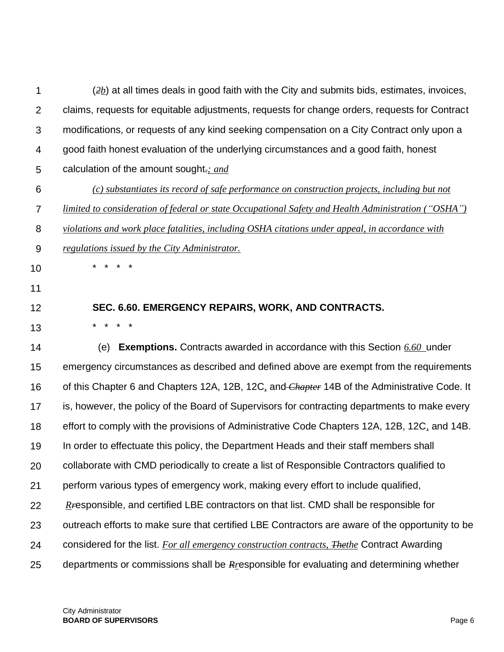| 1              | $(2b)$ at all times deals in good faith with the City and submits bids, estimates, invoices,         |
|----------------|------------------------------------------------------------------------------------------------------|
| $\overline{2}$ | claims, requests for equitable adjustments, requests for change orders, requests for Contract        |
| 3              | modifications, or requests of any kind seeking compensation on a City Contract only upon a           |
| 4              | good faith honest evaluation of the underlying circumstances and a good faith, honest                |
| 5              | calculation of the amount sought-; and                                                               |
| 6              | (c) substantiates its record of safe performance on construction projects, including but not         |
| $\overline{7}$ | limited to consideration of federal or state Occupational Safety and Health Administration ("OSHA")  |
| 8              | violations and work place fatalities, including OSHA citations under appeal, in accordance with      |
| 9              | regulations issued by the City Administrator.                                                        |
| 10             |                                                                                                      |
| 11             |                                                                                                      |
| 12             | SEC. 6.60. EMERGENCY REPAIRS, WORK, AND CONTRACTS.                                                   |
| 13             | *                                                                                                    |
| 14             | <b>Exemptions.</b> Contracts awarded in accordance with this Section 6.60 under<br>(e)               |
| 15             | emergency circumstances as described and defined above are exempt from the requirements              |
| 16             | of this Chapter 6 and Chapters 12A, 12B, 12C, and Chapter 14B of the Administrative Code. It         |
| 17             | is, however, the policy of the Board of Supervisors for contracting departments to make every        |
| 18             | effort to comply with the provisions of Administrative Code Chapters 12A, 12B, 12C, and 14B.         |
| 19             | In order to effectuate this policy, the Department Heads and their staff members shall               |
| 20             | collaborate with CMD periodically to create a list of Responsible Contractors qualified to           |
| 21             | perform various types of emergency work, making every effort to include qualified,                   |
| 22             | $R$ esponsible, and certified LBE contractors on that list. CMD shall be responsible for             |
| 23             | outreach efforts to make sure that certified LBE Contractors are aware of the opportunity to be      |
| 24             | considered for the list. For all emergency construction contracts, The the Contract Awarding         |
| 25             | departments or commissions shall be R <sub>L</sub> esponsible for evaluating and determining whether |
|                |                                                                                                      |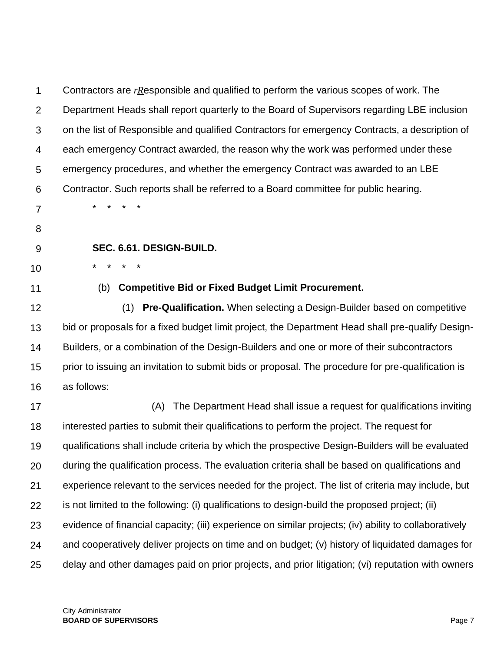| 1              | Contractors are $r$ Responsible and qualified to perform the various scopes of work. The              |
|----------------|-------------------------------------------------------------------------------------------------------|
| $\overline{2}$ | Department Heads shall report quarterly to the Board of Supervisors regarding LBE inclusion           |
| 3              | on the list of Responsible and qualified Contractors for emergency Contracts, a description of        |
| 4              | each emergency Contract awarded, the reason why the work was performed under these                    |
| 5              | emergency procedures, and whether the emergency Contract was awarded to an LBE                        |
| 6              | Contractor. Such reports shall be referred to a Board committee for public hearing.                   |
| $\overline{7}$ |                                                                                                       |
| 8              |                                                                                                       |
| 9              | SEC. 6.61. DESIGN-BUILD.                                                                              |
| 10             |                                                                                                       |
| 11             | <b>Competitive Bid or Fixed Budget Limit Procurement.</b><br>(b)                                      |
| 12             | (1) Pre-Qualification. When selecting a Design-Builder based on competitive                           |
| 13             | bid or proposals for a fixed budget limit project, the Department Head shall pre-qualify Design-      |
| 14             | Builders, or a combination of the Design-Builders and one or more of their subcontractors             |
| 15             | prior to issuing an invitation to submit bids or proposal. The procedure for pre-qualification is     |
| 16             | as follows:                                                                                           |
| 17             | The Department Head shall issue a request for qualifications inviting<br>(A)                          |
| 18             | interested parties to submit their qualifications to perform the project. The request for             |
| 19             | qualifications shall include criteria by which the prospective Design-Builders will be evaluated      |
| 20             | during the qualification process. The evaluation criteria shall be based on qualifications and        |
| 21             | experience relevant to the services needed for the project. The list of criteria may include, but     |
| 22             | is not limited to the following: (i) qualifications to design-build the proposed project; (ii)        |
| 23             | evidence of financial capacity; (iii) experience on similar projects; (iv) ability to collaboratively |
| 24             | and cooperatively deliver projects on time and on budget; (v) history of liquidated damages for       |
| 25             | delay and other damages paid on prior projects, and prior litigation; (vi) reputation with owners     |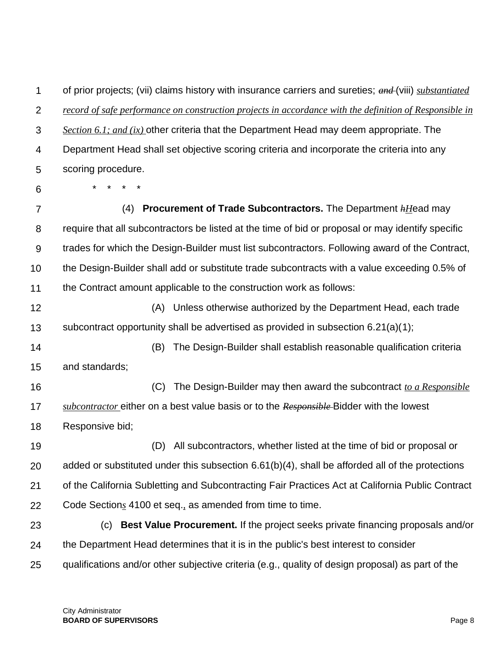1  $\mathcal{P}$ 3 4 5 of prior projects; (vii) claims history with insurance carriers and sureties; *and* (viii) *substantiated record of safe performance on construction projects in accordance with the definition of Responsible in Section 6.1; and (ix)* other criteria that the Department Head may deem appropriate. The Department Head shall set objective scoring criteria and incorporate the criteria into any scoring procedure.

6

\* \* \* \*

7 8 9 10 11 (4) **Procurement of Trade Subcontractors.** The Department *hH*ead may require that all subcontractors be listed at the time of bid or proposal or may identify specific trades for which the Design-Builder must list subcontractors. Following award of the Contract, the Design-Builder shall add or substitute trade subcontracts with a value exceeding 0.5% of the Contract amount applicable to the construction work as follows:

12 13 (A) Unless otherwise authorized by the Department Head, each trade subcontract opportunity shall be advertised as provided in subsection 6.21(a)(1);

14 15 (B) The Design-Builder shall establish reasonable qualification criteria and standards;

16 17 18 (C) The Design-Builder may then award the subcontract *to a Responsible subcontractor* either on a best value basis or to the *Responsible* Bidder with the lowest Responsive bid;

19 20 21 22 (D) All subcontractors, whether listed at the time of bid or proposal or added or substituted under this subsection 6.61(b)(4), shall be afforded all of the protections of the California Subletting and Subcontracting Fair Practices Act at California Public Contract Code Section*s* 4100 et seq.*,* as amended from time to time.

23 24 25 (c) **Best Value Procurement.** If the project seeks private financing proposals and/or the Department Head determines that it is in the public's best interest to consider qualifications and/or other subjective criteria (e.g., quality of design proposal) as part of the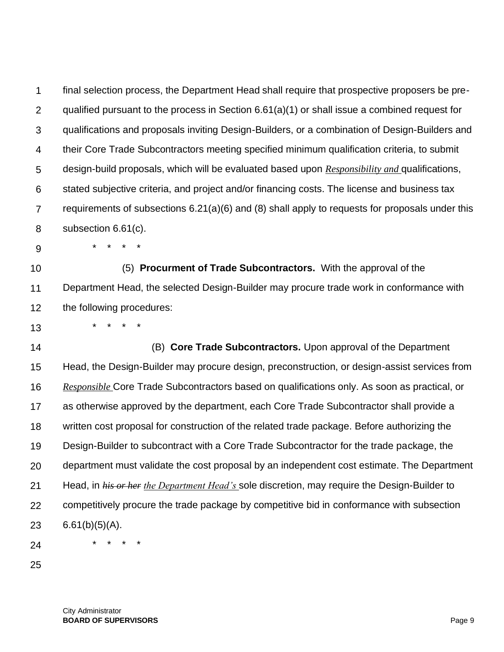1  $\mathcal{P}$ 3 4 5 6 7 8 9 10 final selection process, the Department Head shall require that prospective proposers be prequalified pursuant to the process in Section 6.61(a)(1) or shall issue a combined request for qualifications and proposals inviting Design-Builders, or a combination of Design-Builders and their Core Trade Subcontractors meeting specified minimum qualification criteria, to submit design-build proposals, which will be evaluated based upon *Responsibility and* qualifications, stated subjective criteria, and project and/or financing costs. The license and business tax requirements of subsections 6.21(a)(6) and (8) shall apply to requests for proposals under this subsection 6.61(c). \* \* \* \* (5) **Procurment of Trade Subcontractors.** With the approval of the

11 12 Department Head, the selected Design-Builder may procure trade work in conformance with the following procedures:

13 \* \* \* \*

14 15 16 17 18 19 20 21 22 23 24 (B) **Core Trade Subcontractors.** Upon approval of the Department Head, the Design-Builder may procure design, preconstruction, or design-assist services from *Responsible* Core Trade Subcontractors based on qualifications only. As soon as practical, or as otherwise approved by the department, each Core Trade Subcontractor shall provide a written cost proposal for construction of the related trade package. Before authorizing the Design-Builder to subcontract with a Core Trade Subcontractor for the trade package, the department must validate the cost proposal by an independent cost estimate. The Department Head, in *his or her the Department Head's* sole discretion, may require the Design-Builder to competitively procure the trade package by competitive bid in conformance with subsection  $6.61(b)(5)(A)$ . \* \* \* \*

25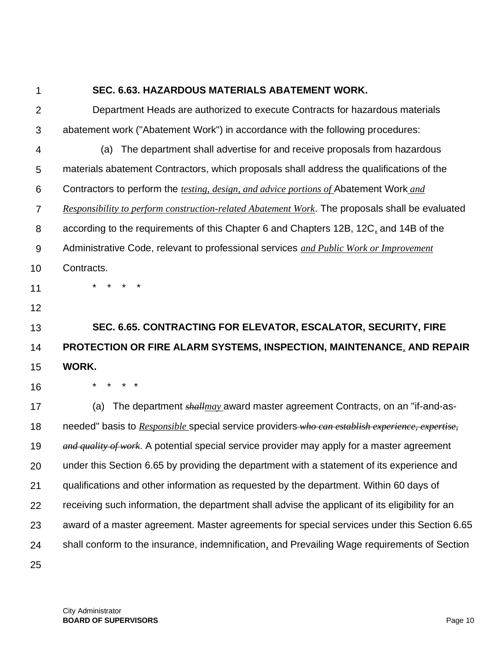1  $\mathfrak{p}$ 3 4 5 6 7 8 9 10 11 12 13 14 15 16 17 18 19 20 21 22 23 24 25 **SEC. 6.63. HAZARDOUS MATERIALS ABATEMENT WORK.** Department Heads are authorized to execute Contracts for hazardous materials abatement work ("Abatement Work") in accordance with the following procedures: (a) The department shall advertise for and receive proposals from hazardous materials abatement Contractors, which proposals shall address the qualifications of the Contractors to perform the *testing, design, and advice portions of* Abatement Work *and Responsibility to perform construction-related Abatement Work*. The proposals shall be evaluated according to the requirements of this Chapter 6 and Chapters 12B, 12C*,* and 14B of the Administrative Code, relevant to professional services *and Public Work or Improvement* Contracts. \* \* \* \* **SEC. 6.65. CONTRACTING FOR ELEVATOR, ESCALATOR, SECURITY, FIRE PROTECTION OR FIRE ALARM SYSTEMS, INSPECTION, MAINTENANCE***,* **AND REPAIR WORK.** \* \* \* \* (a) The department *shallmay* award master agreement Contracts, on an "if-and-asneeded" basis to *Responsible* special service providers *who can establish experience, expertise, and quality of work*. A potential special service provider may apply for a master agreement under this Section 6.65 by providing the department with a statement of its experience and qualifications and other information as requested by the department. Within 60 days of receiving such information, the department shall advise the applicant of its eligibility for an award of a master agreement. Master agreements for special services under this Section 6.65 shall conform to the insurance, indemnification*,* and Prevailing Wage requirements of Section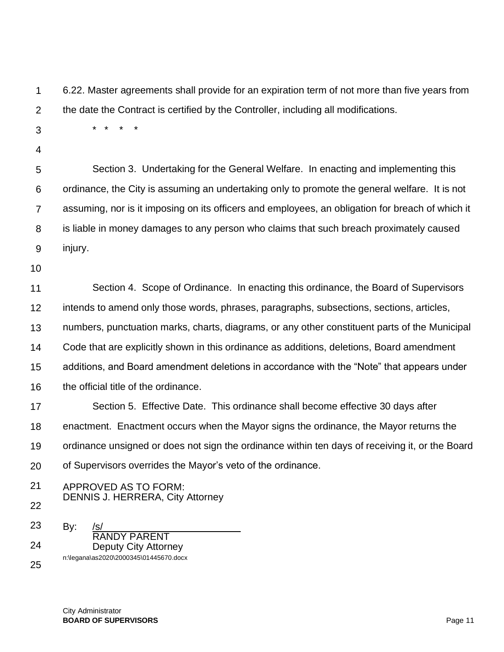1  $\mathcal{P}$ 6.22. Master agreements shall provide for an expiration term of not more than five years from the date the Contract is certified by the Controller, including all modifications.

3

\* \* \* \*

4

5 6 7 8 9 Section 3. Undertaking for the General Welfare. In enacting and implementing this ordinance, the City is assuming an undertaking only to promote the general welfare. It is not assuming, nor is it imposing on its officers and employees, an obligation for breach of which it is liable in money damages to any person who claims that such breach proximately caused injury.

10

11 12 13 14 15 16 17 Section 4. Scope of Ordinance. In enacting this ordinance, the Board of Supervisors intends to amend only those words, phrases, paragraphs, subsections, sections, articles, numbers, punctuation marks, charts, diagrams, or any other constituent parts of the Municipal Code that are explicitly shown in this ordinance as additions, deletions, Board amendment additions, and Board amendment deletions in accordance with the "Note" that appears under the official title of the ordinance. Section 5. Effective Date. This ordinance shall become effective 30 days after

18 19 20 enactment. Enactment occurs when the Mayor signs the ordinance, the Mayor returns the ordinance unsigned or does not sign the ordinance within ten days of receiving it, or the Board of Supervisors overrides the Mayor's veto of the ordinance.

21 APPROVED AS TO FORM: DENNIS J. HERRERA, City Attorney

22

23 24  $By:$ RANDY PARENT Deputy City Attorney n:\legana\as2020\2000345\01445670.docx

25